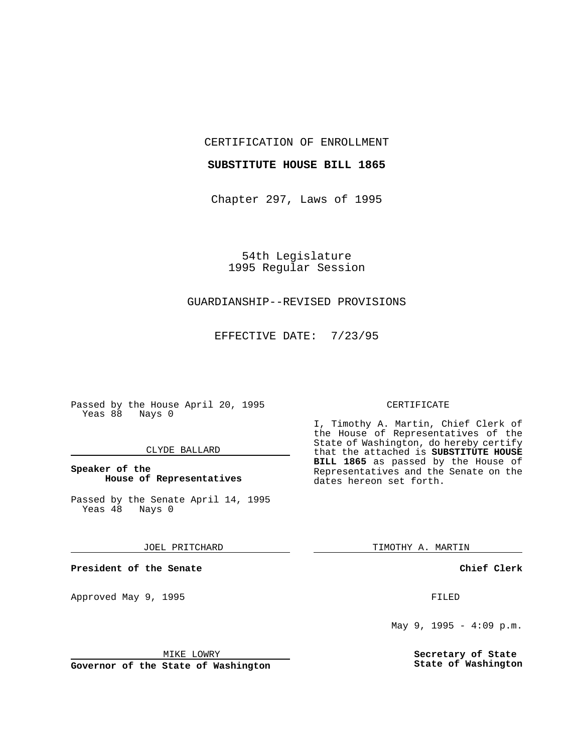CERTIFICATION OF ENROLLMENT

#### **SUBSTITUTE HOUSE BILL 1865**

Chapter 297, Laws of 1995

54th Legislature 1995 Regular Session

## GUARDIANSHIP--REVISED PROVISIONS

EFFECTIVE DATE: 7/23/95

Passed by the House April 20, 1995 Yeas 88 Nays 0

### CLYDE BALLARD

## **Speaker of the House of Representatives**

Passed by the Senate April 14, 1995<br>Yeas 48 Nays 0 Yeas 48

### JOEL PRITCHARD

**President of the Senate**

Approved May 9, 1995 **FILED** 

MIKE LOWRY

**Governor of the State of Washington**

### CERTIFICATE

I, Timothy A. Martin, Chief Clerk of the House of Representatives of the State of Washington, do hereby certify that the attached is **SUBSTITUTE HOUSE BILL 1865** as passed by the House of Representatives and the Senate on the dates hereon set forth.

TIMOTHY A. MARTIN

**Chief Clerk**

May 9, 1995 - 4:09 p.m.

**Secretary of State State of Washington**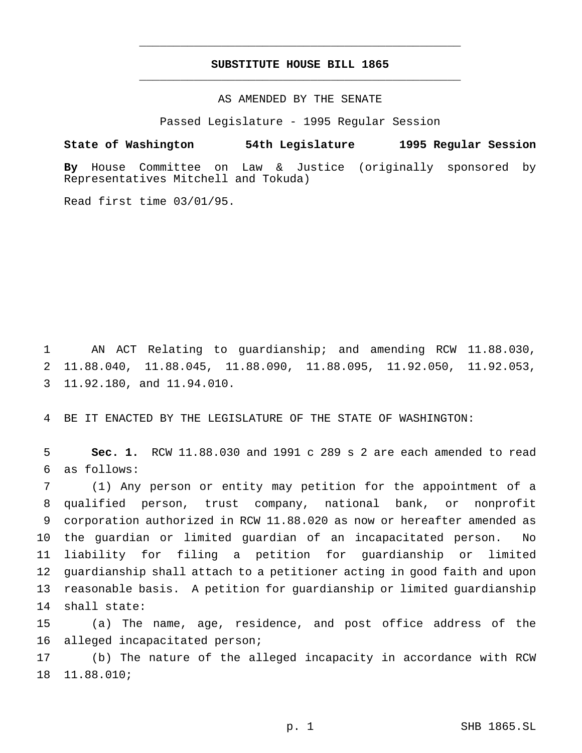# **SUBSTITUTE HOUSE BILL 1865** \_\_\_\_\_\_\_\_\_\_\_\_\_\_\_\_\_\_\_\_\_\_\_\_\_\_\_\_\_\_\_\_\_\_\_\_\_\_\_\_\_\_\_\_\_\_\_

\_\_\_\_\_\_\_\_\_\_\_\_\_\_\_\_\_\_\_\_\_\_\_\_\_\_\_\_\_\_\_\_\_\_\_\_\_\_\_\_\_\_\_\_\_\_\_

AS AMENDED BY THE SENATE

Passed Legislature - 1995 Regular Session

**State of Washington 54th Legislature 1995 Regular Session**

**By** House Committee on Law & Justice (originally sponsored by Representatives Mitchell and Tokuda)

Read first time 03/01/95.

 AN ACT Relating to guardianship; and amending RCW 11.88.030, 11.88.040, 11.88.045, 11.88.090, 11.88.095, 11.92.050, 11.92.053, 11.92.180, and 11.94.010.

BE IT ENACTED BY THE LEGISLATURE OF THE STATE OF WASHINGTON:

 **Sec. 1.** RCW 11.88.030 and 1991 c 289 s 2 are each amended to read as follows:

 (1) Any person or entity may petition for the appointment of a qualified person, trust company, national bank, or nonprofit corporation authorized in RCW 11.88.020 as now or hereafter amended as the guardian or limited guardian of an incapacitated person. No liability for filing a petition for guardianship or limited guardianship shall attach to a petitioner acting in good faith and upon reasonable basis. A petition for guardianship or limited guardianship shall state:

 (a) The name, age, residence, and post office address of the alleged incapacitated person;

 (b) The nature of the alleged incapacity in accordance with RCW 11.88.010;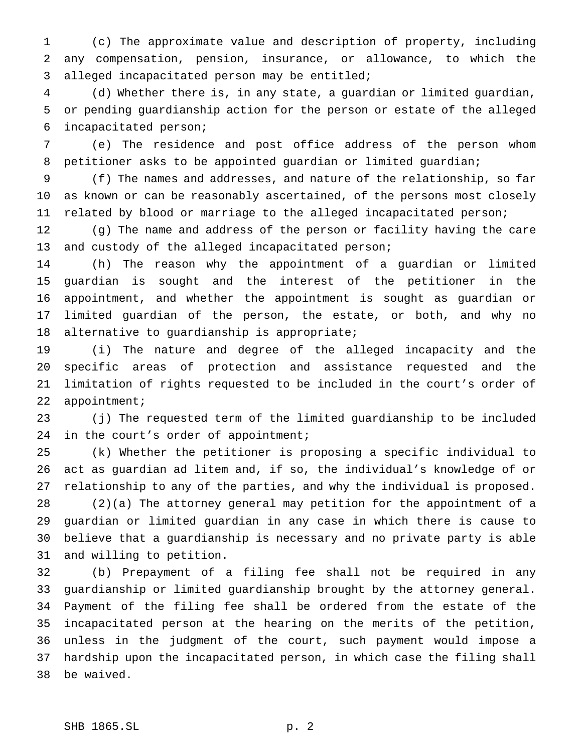(c) The approximate value and description of property, including any compensation, pension, insurance, or allowance, to which the alleged incapacitated person may be entitled;

 (d) Whether there is, in any state, a guardian or limited guardian, or pending guardianship action for the person or estate of the alleged incapacitated person;

 (e) The residence and post office address of the person whom petitioner asks to be appointed guardian or limited guardian;

 (f) The names and addresses, and nature of the relationship, so far as known or can be reasonably ascertained, of the persons most closely related by blood or marriage to the alleged incapacitated person;

 (g) The name and address of the person or facility having the care and custody of the alleged incapacitated person;

 (h) The reason why the appointment of a guardian or limited guardian is sought and the interest of the petitioner in the appointment, and whether the appointment is sought as guardian or limited guardian of the person, the estate, or both, and why no alternative to guardianship is appropriate;

 (i) The nature and degree of the alleged incapacity and the specific areas of protection and assistance requested and the limitation of rights requested to be included in the court's order of appointment;

 (j) The requested term of the limited guardianship to be included 24 in the court's order of appointment;

 (k) Whether the petitioner is proposing a specific individual to act as guardian ad litem and, if so, the individual's knowledge of or relationship to any of the parties, and why the individual is proposed.

 (2)(a) The attorney general may petition for the appointment of a guardian or limited guardian in any case in which there is cause to believe that a guardianship is necessary and no private party is able and willing to petition.

 (b) Prepayment of a filing fee shall not be required in any guardianship or limited guardianship brought by the attorney general. Payment of the filing fee shall be ordered from the estate of the incapacitated person at the hearing on the merits of the petition, unless in the judgment of the court, such payment would impose a hardship upon the incapacitated person, in which case the filing shall be waived.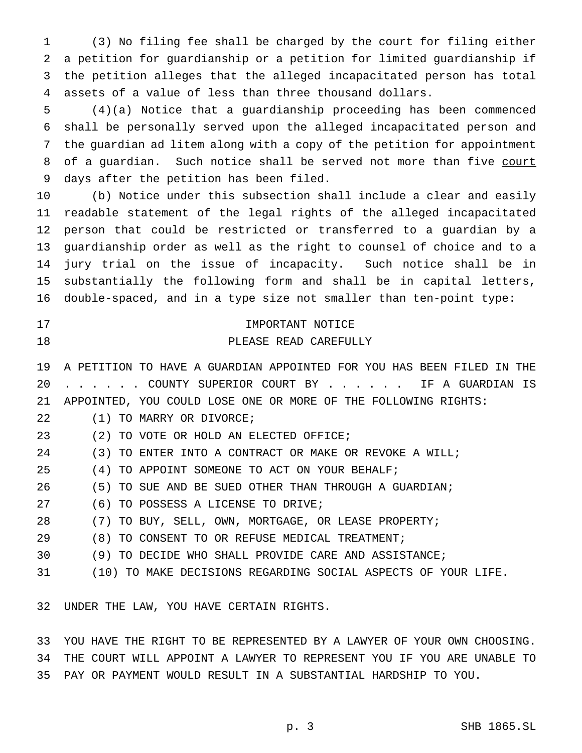(3) No filing fee shall be charged by the court for filing either a petition for guardianship or a petition for limited guardianship if the petition alleges that the alleged incapacitated person has total assets of a value of less than three thousand dollars.

 (4)(a) Notice that a guardianship proceeding has been commenced shall be personally served upon the alleged incapacitated person and the guardian ad litem along with a copy of the petition for appointment 8 of a guardian. Such notice shall be served not more than five court days after the petition has been filed.

 (b) Notice under this subsection shall include a clear and easily readable statement of the legal rights of the alleged incapacitated person that could be restricted or transferred to a guardian by a guardianship order as well as the right to counsel of choice and to a jury trial on the issue of incapacity. Such notice shall be in substantially the following form and shall be in capital letters, double-spaced, and in a type size not smaller than ten-point type:

| -17 |  | IMPORTANT NOTICE      |
|-----|--|-----------------------|
| 18  |  | PLEASE READ CAREFULLY |

 A PETITION TO HAVE A GUARDIAN APPOINTED FOR YOU HAS BEEN FILED IN THE ...... COUNTY SUPERIOR COURT BY . . . . . . IF A GUARDIAN IS APPOINTED, YOU COULD LOSE ONE OR MORE OF THE FOLLOWING RIGHTS:

- (1) TO MARRY OR DIVORCE;
- (2) TO VOTE OR HOLD AN ELECTED OFFICE;
- (3) TO ENTER INTO A CONTRACT OR MAKE OR REVOKE A WILL;
- (4) TO APPOINT SOMEONE TO ACT ON YOUR BEHALF;
- (5) TO SUE AND BE SUED OTHER THAN THROUGH A GUARDIAN;
- (6) TO POSSESS A LICENSE TO DRIVE;
- (7) TO BUY, SELL, OWN, MORTGAGE, OR LEASE PROPERTY;
- (8) TO CONSENT TO OR REFUSE MEDICAL TREATMENT;
- (9) TO DECIDE WHO SHALL PROVIDE CARE AND ASSISTANCE;
- (10) TO MAKE DECISIONS REGARDING SOCIAL ASPECTS OF YOUR LIFE.

UNDER THE LAW, YOU HAVE CERTAIN RIGHTS.

 YOU HAVE THE RIGHT TO BE REPRESENTED BY A LAWYER OF YOUR OWN CHOOSING. THE COURT WILL APPOINT A LAWYER TO REPRESENT YOU IF YOU ARE UNABLE TO PAY OR PAYMENT WOULD RESULT IN A SUBSTANTIAL HARDSHIP TO YOU.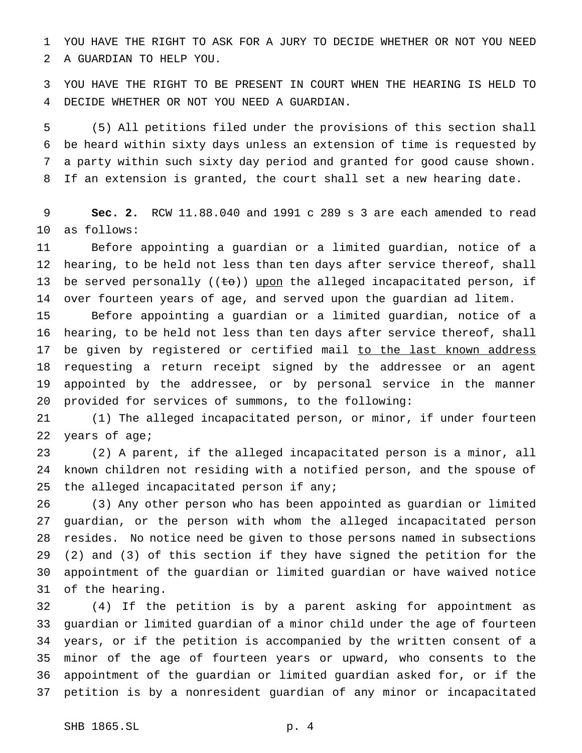YOU HAVE THE RIGHT TO ASK FOR A JURY TO DECIDE WHETHER OR NOT YOU NEED A GUARDIAN TO HELP YOU.

 YOU HAVE THE RIGHT TO BE PRESENT IN COURT WHEN THE HEARING IS HELD TO DECIDE WHETHER OR NOT YOU NEED A GUARDIAN.

 (5) All petitions filed under the provisions of this section shall be heard within sixty days unless an extension of time is requested by a party within such sixty day period and granted for good cause shown. If an extension is granted, the court shall set a new hearing date.

 **Sec. 2.** RCW 11.88.040 and 1991 c 289 s 3 are each amended to read as follows:

 Before appointing a guardian or a limited guardian, notice of a hearing, to be held not less than ten days after service thereof, shall 13 be served personally  $((\pm \sigma))$  upon the alleged incapacitated person, if over fourteen years of age, and served upon the guardian ad litem.

 Before appointing a guardian or a limited guardian, notice of a hearing, to be held not less than ten days after service thereof, shall 17 be given by registered or certified mail to the last known address requesting a return receipt signed by the addressee or an agent appointed by the addressee, or by personal service in the manner provided for services of summons, to the following:

 (1) The alleged incapacitated person, or minor, if under fourteen years of age;

 (2) A parent, if the alleged incapacitated person is a minor, all known children not residing with a notified person, and the spouse of the alleged incapacitated person if any;

 (3) Any other person who has been appointed as guardian or limited guardian, or the person with whom the alleged incapacitated person resides. No notice need be given to those persons named in subsections (2) and (3) of this section if they have signed the petition for the appointment of the guardian or limited guardian or have waived notice of the hearing.

 (4) If the petition is by a parent asking for appointment as guardian or limited guardian of a minor child under the age of fourteen years, or if the petition is accompanied by the written consent of a minor of the age of fourteen years or upward, who consents to the appointment of the guardian or limited guardian asked for, or if the petition is by a nonresident guardian of any minor or incapacitated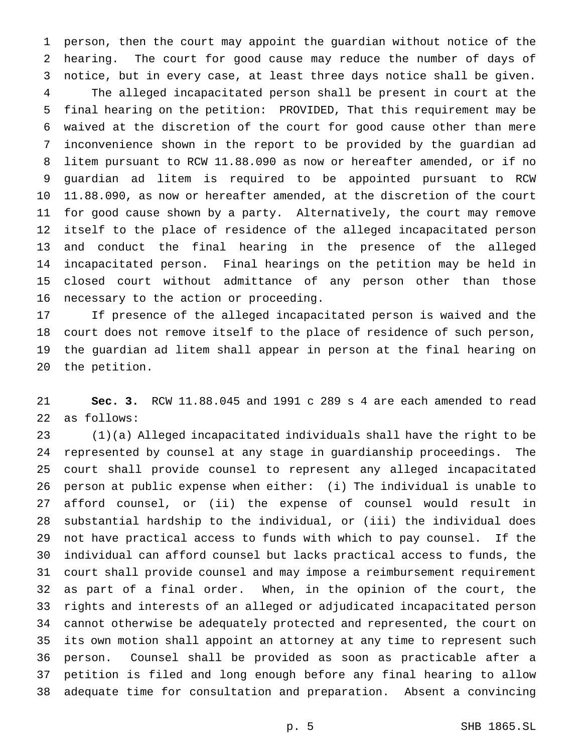person, then the court may appoint the guardian without notice of the hearing. The court for good cause may reduce the number of days of notice, but in every case, at least three days notice shall be given. The alleged incapacitated person shall be present in court at the final hearing on the petition: PROVIDED, That this requirement may be waived at the discretion of the court for good cause other than mere inconvenience shown in the report to be provided by the guardian ad litem pursuant to RCW 11.88.090 as now or hereafter amended, or if no guardian ad litem is required to be appointed pursuant to RCW 11.88.090, as now or hereafter amended, at the discretion of the court for good cause shown by a party. Alternatively, the court may remove itself to the place of residence of the alleged incapacitated person and conduct the final hearing in the presence of the alleged incapacitated person. Final hearings on the petition may be held in closed court without admittance of any person other than those necessary to the action or proceeding.

 If presence of the alleged incapacitated person is waived and the court does not remove itself to the place of residence of such person, the guardian ad litem shall appear in person at the final hearing on the petition.

 **Sec. 3.** RCW 11.88.045 and 1991 c 289 s 4 are each amended to read as follows:

 (1)(a) Alleged incapacitated individuals shall have the right to be represented by counsel at any stage in guardianship proceedings. The court shall provide counsel to represent any alleged incapacitated person at public expense when either: (i) The individual is unable to afford counsel, or (ii) the expense of counsel would result in substantial hardship to the individual, or (iii) the individual does not have practical access to funds with which to pay counsel. If the individual can afford counsel but lacks practical access to funds, the court shall provide counsel and may impose a reimbursement requirement as part of a final order. When, in the opinion of the court, the rights and interests of an alleged or adjudicated incapacitated person cannot otherwise be adequately protected and represented, the court on its own motion shall appoint an attorney at any time to represent such person. Counsel shall be provided as soon as practicable after a petition is filed and long enough before any final hearing to allow adequate time for consultation and preparation. Absent a convincing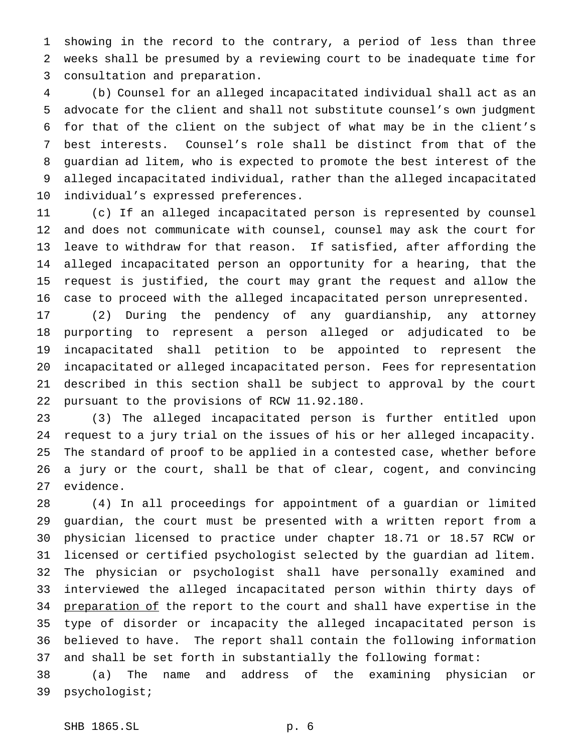showing in the record to the contrary, a period of less than three weeks shall be presumed by a reviewing court to be inadequate time for consultation and preparation.

 (b) Counsel for an alleged incapacitated individual shall act as an advocate for the client and shall not substitute counsel's own judgment for that of the client on the subject of what may be in the client's best interests. Counsel's role shall be distinct from that of the guardian ad litem, who is expected to promote the best interest of the alleged incapacitated individual, rather than the alleged incapacitated individual's expressed preferences.

 (c) If an alleged incapacitated person is represented by counsel and does not communicate with counsel, counsel may ask the court for leave to withdraw for that reason. If satisfied, after affording the alleged incapacitated person an opportunity for a hearing, that the request is justified, the court may grant the request and allow the case to proceed with the alleged incapacitated person unrepresented.

 (2) During the pendency of any guardianship, any attorney purporting to represent a person alleged or adjudicated to be incapacitated shall petition to be appointed to represent the incapacitated or alleged incapacitated person. Fees for representation described in this section shall be subject to approval by the court pursuant to the provisions of RCW 11.92.180.

 (3) The alleged incapacitated person is further entitled upon request to a jury trial on the issues of his or her alleged incapacity. The standard of proof to be applied in a contested case, whether before a jury or the court, shall be that of clear, cogent, and convincing evidence.

 (4) In all proceedings for appointment of a guardian or limited guardian, the court must be presented with a written report from a physician licensed to practice under chapter 18.71 or 18.57 RCW or licensed or certified psychologist selected by the guardian ad litem. The physician or psychologist shall have personally examined and interviewed the alleged incapacitated person within thirty days of 34 preparation of the report to the court and shall have expertise in the type of disorder or incapacity the alleged incapacitated person is believed to have. The report shall contain the following information and shall be set forth in substantially the following format:

 (a) The name and address of the examining physician or psychologist;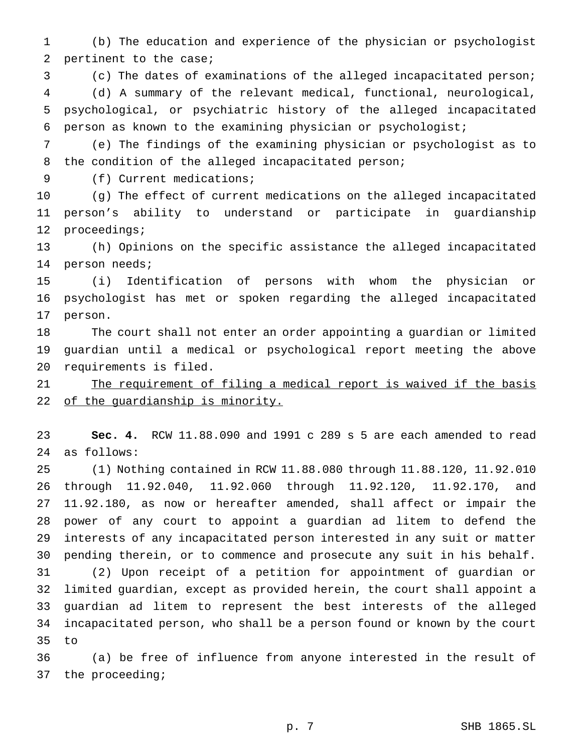(b) The education and experience of the physician or psychologist pertinent to the case;

(c) The dates of examinations of the alleged incapacitated person;

 (d) A summary of the relevant medical, functional, neurological, psychological, or psychiatric history of the alleged incapacitated person as known to the examining physician or psychologist;

 (e) The findings of the examining physician or psychologist as to the condition of the alleged incapacitated person;

9 (f) Current medications;

 (g) The effect of current medications on the alleged incapacitated person's ability to understand or participate in guardianship proceedings;

 (h) Opinions on the specific assistance the alleged incapacitated person needs;

 (i) Identification of persons with whom the physician or psychologist has met or spoken regarding the alleged incapacitated person.

 The court shall not enter an order appointing a guardian or limited guardian until a medical or psychological report meeting the above requirements is filed.

21 The requirement of filing a medical report is waived if the basis 22 of the guardianship is minority.

 **Sec. 4.** RCW 11.88.090 and 1991 c 289 s 5 are each amended to read as follows:

 (1) Nothing contained in RCW 11.88.080 through 11.88.120, 11.92.010 through 11.92.040, 11.92.060 through 11.92.120, 11.92.170, and 11.92.180, as now or hereafter amended, shall affect or impair the power of any court to appoint a guardian ad litem to defend the interests of any incapacitated person interested in any suit or matter pending therein, or to commence and prosecute any suit in his behalf. (2) Upon receipt of a petition for appointment of guardian or limited guardian, except as provided herein, the court shall appoint a guardian ad litem to represent the best interests of the alleged incapacitated person, who shall be a person found or known by the court to

 (a) be free of influence from anyone interested in the result of the proceeding;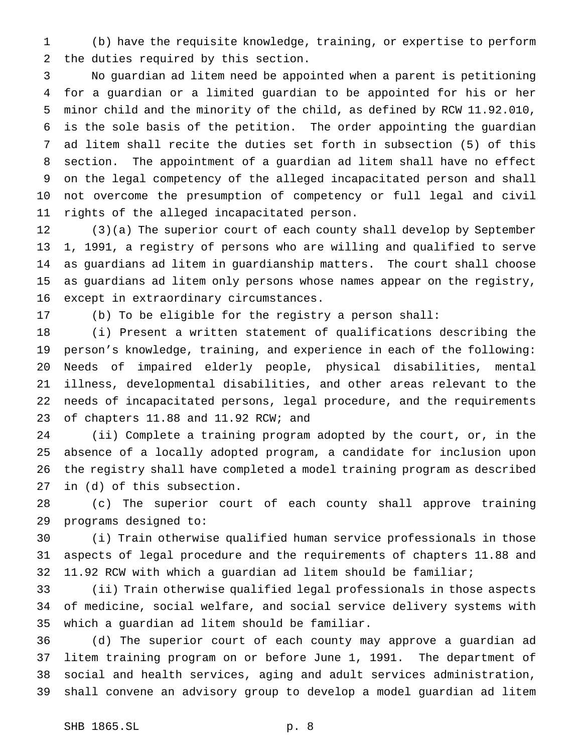(b) have the requisite knowledge, training, or expertise to perform the duties required by this section.

 No guardian ad litem need be appointed when a parent is petitioning for a guardian or a limited guardian to be appointed for his or her minor child and the minority of the child, as defined by RCW 11.92.010, is the sole basis of the petition. The order appointing the guardian ad litem shall recite the duties set forth in subsection (5) of this section. The appointment of a guardian ad litem shall have no effect on the legal competency of the alleged incapacitated person and shall not overcome the presumption of competency or full legal and civil rights of the alleged incapacitated person.

 (3)(a) The superior court of each county shall develop by September 1, 1991, a registry of persons who are willing and qualified to serve as guardians ad litem in guardianship matters. The court shall choose as guardians ad litem only persons whose names appear on the registry, except in extraordinary circumstances.

(b) To be eligible for the registry a person shall:

 (i) Present a written statement of qualifications describing the person's knowledge, training, and experience in each of the following: Needs of impaired elderly people, physical disabilities, mental illness, developmental disabilities, and other areas relevant to the needs of incapacitated persons, legal procedure, and the requirements of chapters 11.88 and 11.92 RCW; and

 (ii) Complete a training program adopted by the court, or, in the absence of a locally adopted program, a candidate for inclusion upon the registry shall have completed a model training program as described in (d) of this subsection.

 (c) The superior court of each county shall approve training programs designed to:

 (i) Train otherwise qualified human service professionals in those aspects of legal procedure and the requirements of chapters 11.88 and 11.92 RCW with which a guardian ad litem should be familiar;

 (ii) Train otherwise qualified legal professionals in those aspects of medicine, social welfare, and social service delivery systems with which a guardian ad litem should be familiar.

 (d) The superior court of each county may approve a guardian ad litem training program on or before June 1, 1991. The department of social and health services, aging and adult services administration, shall convene an advisory group to develop a model guardian ad litem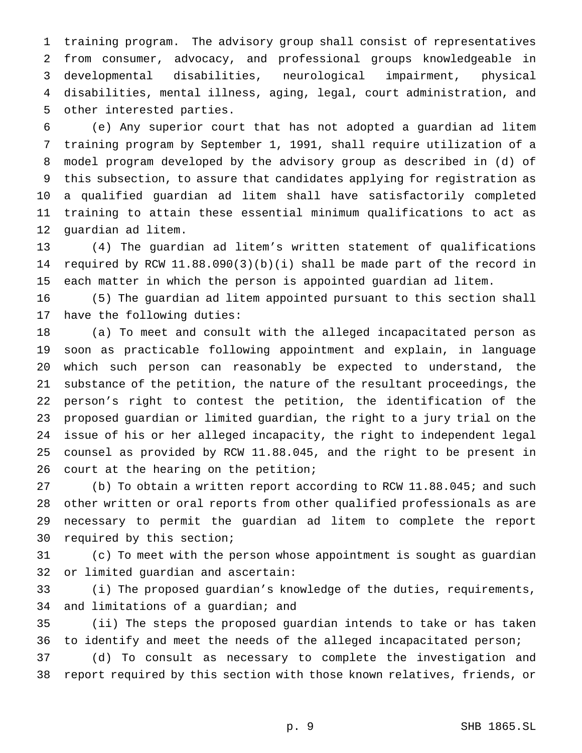training program. The advisory group shall consist of representatives from consumer, advocacy, and professional groups knowledgeable in developmental disabilities, neurological impairment, physical disabilities, mental illness, aging, legal, court administration, and other interested parties.

 (e) Any superior court that has not adopted a guardian ad litem training program by September 1, 1991, shall require utilization of a model program developed by the advisory group as described in (d) of this subsection, to assure that candidates applying for registration as a qualified guardian ad litem shall have satisfactorily completed training to attain these essential minimum qualifications to act as guardian ad litem.

 (4) The guardian ad litem's written statement of qualifications required by RCW 11.88.090(3)(b)(i) shall be made part of the record in each matter in which the person is appointed guardian ad litem.

 (5) The guardian ad litem appointed pursuant to this section shall have the following duties:

 (a) To meet and consult with the alleged incapacitated person as soon as practicable following appointment and explain, in language which such person can reasonably be expected to understand, the substance of the petition, the nature of the resultant proceedings, the person's right to contest the petition, the identification of the proposed guardian or limited guardian, the right to a jury trial on the issue of his or her alleged incapacity, the right to independent legal counsel as provided by RCW 11.88.045, and the right to be present in court at the hearing on the petition;

 (b) To obtain a written report according to RCW 11.88.045; and such other written or oral reports from other qualified professionals as are necessary to permit the guardian ad litem to complete the report required by this section;

 (c) To meet with the person whose appointment is sought as guardian or limited guardian and ascertain:

 (i) The proposed guardian's knowledge of the duties, requirements, and limitations of a guardian; and

 (ii) The steps the proposed guardian intends to take or has taken to identify and meet the needs of the alleged incapacitated person;

 (d) To consult as necessary to complete the investigation and report required by this section with those known relatives, friends, or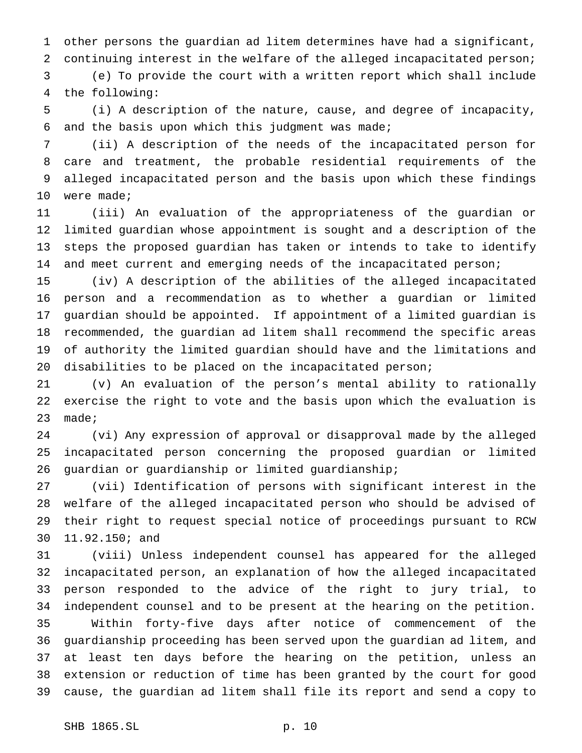other persons the guardian ad litem determines have had a significant, continuing interest in the welfare of the alleged incapacitated person; (e) To provide the court with a written report which shall include the following:

 (i) A description of the nature, cause, and degree of incapacity, and the basis upon which this judgment was made;

 (ii) A description of the needs of the incapacitated person for care and treatment, the probable residential requirements of the alleged incapacitated person and the basis upon which these findings were made;

 (iii) An evaluation of the appropriateness of the guardian or limited guardian whose appointment is sought and a description of the steps the proposed guardian has taken or intends to take to identify 14 and meet current and emerging needs of the incapacitated person;

 (iv) A description of the abilities of the alleged incapacitated person and a recommendation as to whether a guardian or limited guardian should be appointed. If appointment of a limited guardian is recommended, the guardian ad litem shall recommend the specific areas of authority the limited guardian should have and the limitations and disabilities to be placed on the incapacitated person;

 (v) An evaluation of the person's mental ability to rationally exercise the right to vote and the basis upon which the evaluation is made;

 (vi) Any expression of approval or disapproval made by the alleged incapacitated person concerning the proposed guardian or limited guardian or guardianship or limited guardianship;

 (vii) Identification of persons with significant interest in the welfare of the alleged incapacitated person who should be advised of their right to request special notice of proceedings pursuant to RCW 11.92.150; and

 (viii) Unless independent counsel has appeared for the alleged incapacitated person, an explanation of how the alleged incapacitated person responded to the advice of the right to jury trial, to independent counsel and to be present at the hearing on the petition. Within forty-five days after notice of commencement of the guardianship proceeding has been served upon the guardian ad litem, and at least ten days before the hearing on the petition, unless an extension or reduction of time has been granted by the court for good cause, the guardian ad litem shall file its report and send a copy to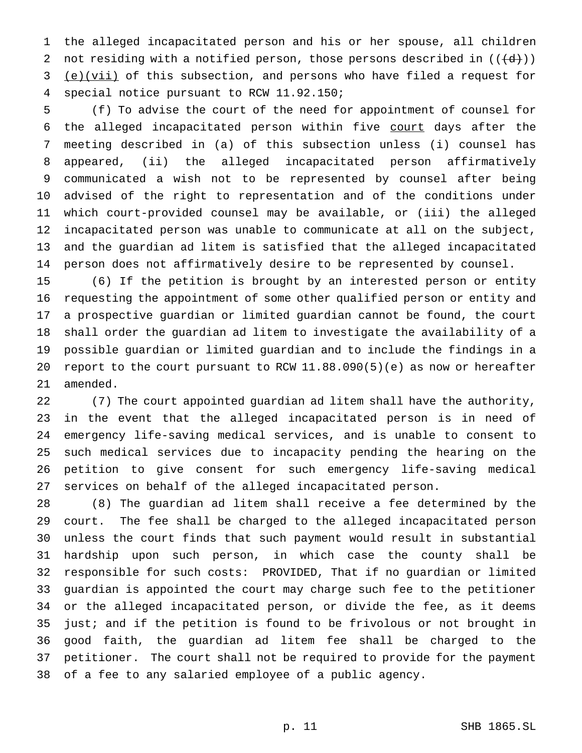the alleged incapacitated person and his or her spouse, all children 2 not residing with a notified person, those persons described in  $((\{d\})$ ) (e)(vii) of this subsection, and persons who have filed a request for special notice pursuant to RCW 11.92.150;

 (f) To advise the court of the need for appointment of counsel for the alleged incapacitated person within five court days after the meeting described in (a) of this subsection unless (i) counsel has appeared, (ii) the alleged incapacitated person affirmatively communicated a wish not to be represented by counsel after being advised of the right to representation and of the conditions under which court-provided counsel may be available, or (iii) the alleged incapacitated person was unable to communicate at all on the subject, and the guardian ad litem is satisfied that the alleged incapacitated person does not affirmatively desire to be represented by counsel.

 (6) If the petition is brought by an interested person or entity requesting the appointment of some other qualified person or entity and a prospective guardian or limited guardian cannot be found, the court shall order the guardian ad litem to investigate the availability of a possible guardian or limited guardian and to include the findings in a report to the court pursuant to RCW 11.88.090(5)(e) as now or hereafter amended.

 (7) The court appointed guardian ad litem shall have the authority, in the event that the alleged incapacitated person is in need of emergency life-saving medical services, and is unable to consent to such medical services due to incapacity pending the hearing on the petition to give consent for such emergency life-saving medical services on behalf of the alleged incapacitated person.

 (8) The guardian ad litem shall receive a fee determined by the court. The fee shall be charged to the alleged incapacitated person unless the court finds that such payment would result in substantial hardship upon such person, in which case the county shall be responsible for such costs: PROVIDED, That if no guardian or limited guardian is appointed the court may charge such fee to the petitioner or the alleged incapacitated person, or divide the fee, as it deems just; and if the petition is found to be frivolous or not brought in good faith, the guardian ad litem fee shall be charged to the petitioner. The court shall not be required to provide for the payment of a fee to any salaried employee of a public agency.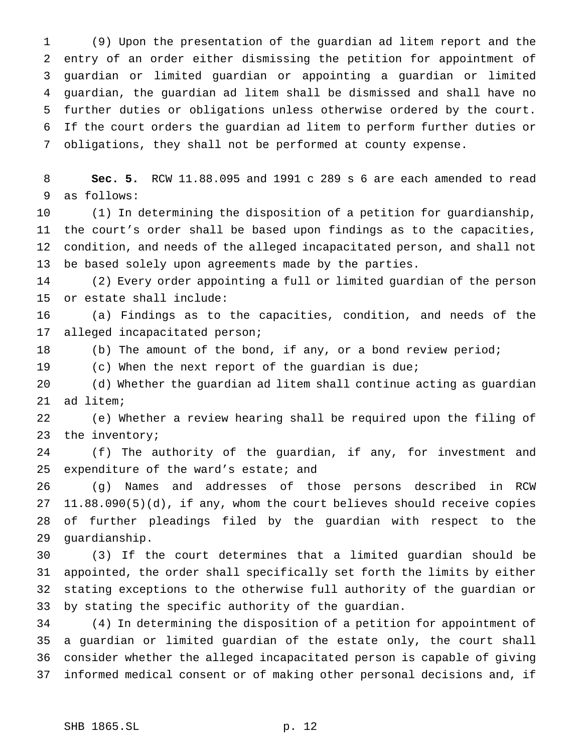(9) Upon the presentation of the guardian ad litem report and the entry of an order either dismissing the petition for appointment of guardian or limited guardian or appointing a guardian or limited guardian, the guardian ad litem shall be dismissed and shall have no further duties or obligations unless otherwise ordered by the court. If the court orders the guardian ad litem to perform further duties or obligations, they shall not be performed at county expense.

 **Sec. 5.** RCW 11.88.095 and 1991 c 289 s 6 are each amended to read as follows:

 (1) In determining the disposition of a petition for guardianship, the court's order shall be based upon findings as to the capacities, condition, and needs of the alleged incapacitated person, and shall not be based solely upon agreements made by the parties.

 (2) Every order appointing a full or limited guardian of the person or estate shall include:

 (a) Findings as to the capacities, condition, and needs of the alleged incapacitated person;

(b) The amount of the bond, if any, or a bond review period;

(c) When the next report of the guardian is due;

 (d) Whether the guardian ad litem shall continue acting as guardian ad litem;

 (e) Whether a review hearing shall be required upon the filing of the inventory;

 (f) The authority of the guardian, if any, for investment and expenditure of the ward's estate; and

 (g) Names and addresses of those persons described in RCW 11.88.090(5)(d), if any, whom the court believes should receive copies of further pleadings filed by the guardian with respect to the guardianship.

 (3) If the court determines that a limited guardian should be appointed, the order shall specifically set forth the limits by either stating exceptions to the otherwise full authority of the guardian or by stating the specific authority of the guardian.

 (4) In determining the disposition of a petition for appointment of a guardian or limited guardian of the estate only, the court shall consider whether the alleged incapacitated person is capable of giving informed medical consent or of making other personal decisions and, if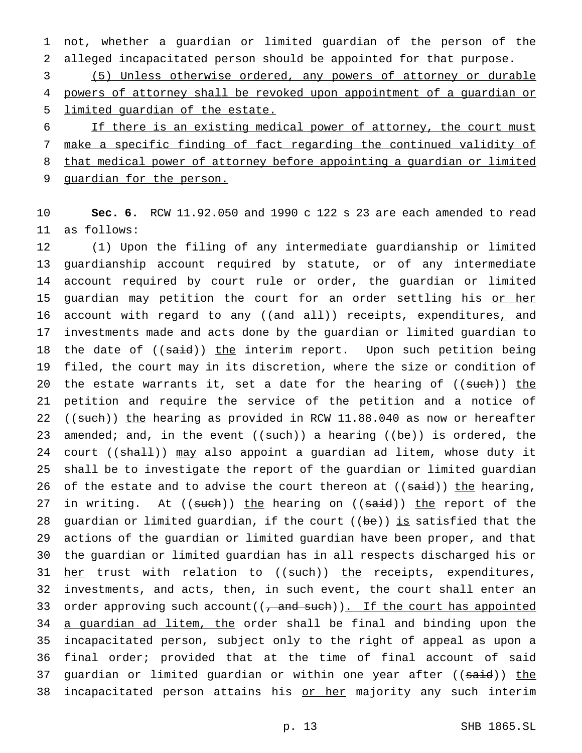1 not, whether a guardian or limited guardian of the person of the 2 alleged incapacitated person should be appointed for that purpose.

3 (5) Unless otherwise ordered, any powers of attorney or durable 4 powers of attorney shall be revoked upon appointment of a guardian or 5 limited guardian of the estate.

 If there is an existing medical power of attorney, the court must make a specific finding of fact regarding the continued validity of that medical power of attorney before appointing a guardian or limited guardian for the person.

10 **Sec. 6.** RCW 11.92.050 and 1990 c 122 s 23 are each amended to read 11 as follows:

12 (1) Upon the filing of any intermediate guardianship or limited 13 guardianship account required by statute, or of any intermediate 14 account required by court rule or order, the guardian or limited 15 guardian may petition the court for an order settling his or her 16 account with regard to any ((and all)) receipts, expenditures, and 17 investments made and acts done by the guardian or limited guardian to 18 the date of ((said)) the interim report. Upon such petition being 19 filed, the court may in its discretion, where the size or condition of 20 the estate warrants it, set a date for the hearing of  $((\text{such}) )$  the 21 petition and require the service of the petition and a notice of 22 ((such)) the hearing as provided in RCW 11.88.040 as now or hereafter 23 amended; and, in the event  $((such) )$  a hearing  $((be))$  is ordered, the 24 court ((shall)) may also appoint a guardian ad litem, whose duty it 25 shall be to investigate the report of the guardian or limited guardian 26 of the estate and to advise the court thereon at  $((\text{said}))$  the hearing, 27 in writing. At ((such)) the hearing on ((said)) the report of the 28 guardian or limited guardian, if the court  $($  (be)) is satisfied that the 29 actions of the guardian or limited guardian have been proper, and that 30 the guardian or limited guardian has in all respects discharged his or 31 her trust with relation to ((such)) the receipts, expenditures, 32 investments, and acts, then, in such event, the court shall enter an 33 order approving such account  $((\tau, \text{and such})).$  If the court has appointed 34 a guardian ad litem, the order shall be final and binding upon the 35 incapacitated person, subject only to the right of appeal as upon a 36 final order; provided that at the time of final account of said 37 guardian or limited guardian or within one year after ((said)) the 38 incapacitated person attains his or her majority any such interim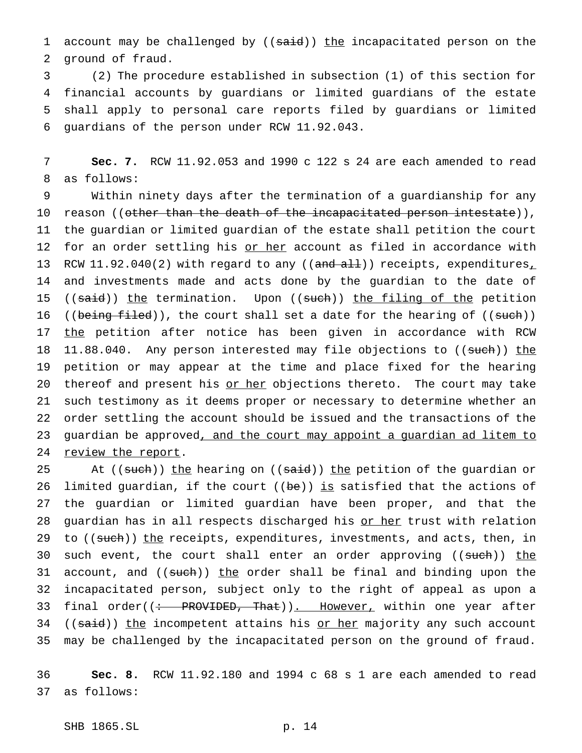1 account may be challenged by ((said)) the incapacitated person on the 2 ground of fraud.

 (2) The procedure established in subsection (1) of this section for financial accounts by guardians or limited guardians of the estate shall apply to personal care reports filed by guardians or limited guardians of the person under RCW 11.92.043.

7 **Sec. 7.** RCW 11.92.053 and 1990 c 122 s 24 are each amended to read 8 as follows:

9 Within ninety days after the termination of a guardianship for any 10 reason ((<del>other than the death of the incapacitated person intestate</del>)), 11 the guardian or limited guardian of the estate shall petition the court 12 for an order settling his or her account as filed in accordance with 13 RCW 11.92.040(2) with regard to any ((and all)) receipts, expenditures<sub>1</sub> 14 and investments made and acts done by the guardian to the date of 15 (( $said$ )) the termination. Upon ( $(such)$ ) the filing of the petition 16 ((being filed)), the court shall set a date for the hearing of ((such)) 17 the petition after notice has been given in accordance with RCW 18 11.88.040. Any person interested may file objections to ((such)) the 19 petition or may appear at the time and place fixed for the hearing 20 thereof and present his or her objections thereto. The court may take 21 such testimony as it deems proper or necessary to determine whether an 22 order settling the account should be issued and the transactions of the 23 guardian be approved, and the court may appoint a guardian ad litem to 24 review the report.

25 At ((such)) the hearing on ((said)) the petition of the guardian or 26 limited guardian, if the court ( $(be)$ ) is satisfied that the actions of 27 the guardian or limited guardian have been proper, and that the 28 guardian has in all respects discharged his or her trust with relation 29 to ((such)) the receipts, expenditures, investments, and acts, then, in 30 such event, the court shall enter an order approving ((such)) the 31 account, and ((such)) the order shall be final and binding upon the 32 incapacitated person, subject only to the right of appeal as upon a 33 final order((: PROVIDED, That)). However, within one year after 34 ((said)) the incompetent attains his or her majority any such account 35 may be challenged by the incapacitated person on the ground of fraud.

36 **Sec. 8.** RCW 11.92.180 and 1994 c 68 s 1 are each amended to read 37 as follows: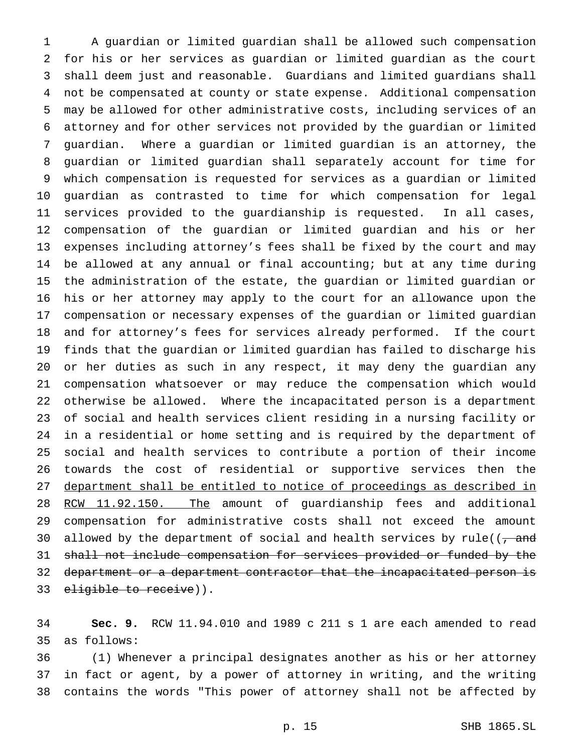A guardian or limited guardian shall be allowed such compensation for his or her services as guardian or limited guardian as the court shall deem just and reasonable. Guardians and limited guardians shall not be compensated at county or state expense. Additional compensation may be allowed for other administrative costs, including services of an attorney and for other services not provided by the guardian or limited guardian. Where a guardian or limited guardian is an attorney, the guardian or limited guardian shall separately account for time for which compensation is requested for services as a guardian or limited guardian as contrasted to time for which compensation for legal services provided to the guardianship is requested. In all cases, compensation of the guardian or limited guardian and his or her expenses including attorney's fees shall be fixed by the court and may be allowed at any annual or final accounting; but at any time during the administration of the estate, the guardian or limited guardian or his or her attorney may apply to the court for an allowance upon the compensation or necessary expenses of the guardian or limited guardian and for attorney's fees for services already performed. If the court finds that the guardian or limited guardian has failed to discharge his or her duties as such in any respect, it may deny the guardian any compensation whatsoever or may reduce the compensation which would otherwise be allowed. Where the incapacitated person is a department of social and health services client residing in a nursing facility or in a residential or home setting and is required by the department of social and health services to contribute a portion of their income towards the cost of residential or supportive services then the department shall be entitled to notice of proceedings as described in 28 RCW 11.92.150. The amount of guardianship fees and additional compensation for administrative costs shall not exceed the amount 30 allowed by the department of social and health services by rule( $(-$ and shall not include compensation for services provided or funded by the 32 department or a department contractor that the incapacitated person is 33 eligible to receive)).

 **Sec. 9.** RCW 11.94.010 and 1989 c 211 s 1 are each amended to read as follows:

 (1) Whenever a principal designates another as his or her attorney in fact or agent, by a power of attorney in writing, and the writing contains the words "This power of attorney shall not be affected by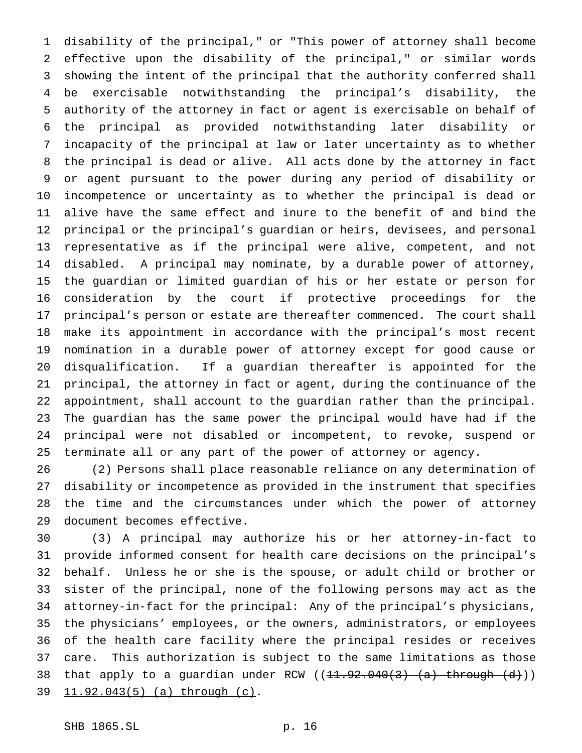disability of the principal," or "This power of attorney shall become effective upon the disability of the principal," or similar words showing the intent of the principal that the authority conferred shall be exercisable notwithstanding the principal's disability, the authority of the attorney in fact or agent is exercisable on behalf of the principal as provided notwithstanding later disability or incapacity of the principal at law or later uncertainty as to whether the principal is dead or alive. All acts done by the attorney in fact or agent pursuant to the power during any period of disability or incompetence or uncertainty as to whether the principal is dead or alive have the same effect and inure to the benefit of and bind the principal or the principal's guardian or heirs, devisees, and personal representative as if the principal were alive, competent, and not disabled. A principal may nominate, by a durable power of attorney, the guardian or limited guardian of his or her estate or person for consideration by the court if protective proceedings for the principal's person or estate are thereafter commenced. The court shall make its appointment in accordance with the principal's most recent nomination in a durable power of attorney except for good cause or disqualification. If a guardian thereafter is appointed for the principal, the attorney in fact or agent, during the continuance of the appointment, shall account to the guardian rather than the principal. The guardian has the same power the principal would have had if the principal were not disabled or incompetent, to revoke, suspend or terminate all or any part of the power of attorney or agency.

 (2) Persons shall place reasonable reliance on any determination of disability or incompetence as provided in the instrument that specifies the time and the circumstances under which the power of attorney document becomes effective.

 (3) A principal may authorize his or her attorney-in-fact to provide informed consent for health care decisions on the principal's behalf. Unless he or she is the spouse, or adult child or brother or sister of the principal, none of the following persons may act as the attorney-in-fact for the principal: Any of the principal's physicians, the physicians' employees, or the owners, administrators, or employees of the health care facility where the principal resides or receives care. This authorization is subject to the same limitations as those 38 that apply to a guardian under RCW  $((11.92.040(3)$   $(a)$  through  $(d)$ )) 11.92.043(5) (a) through (c).